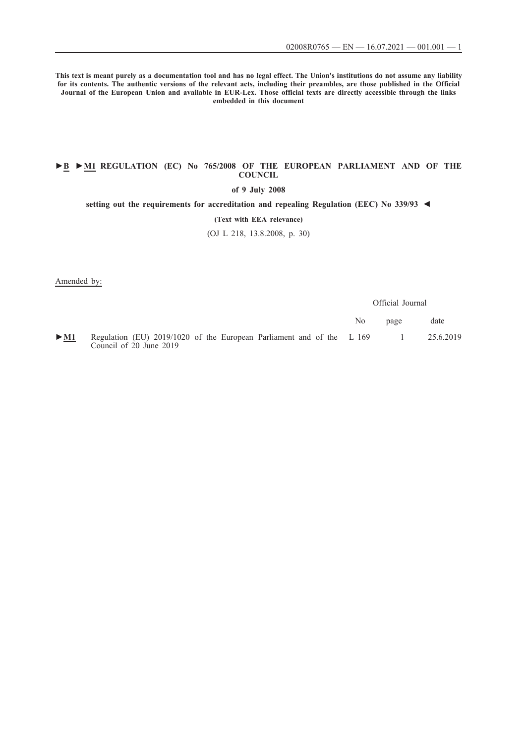**This text is meant purely as a documentation tool and has no legal effect. The Union's institutions do not assume any liability for its contents. The authentic versions of the relevant acts, including their preambles, are those published in the Official Journal of the European Union and available in EUR-Lex. Those official texts are directly accessible through the links embedded in this document**

# **►B ►M1 [REGULATION \(EC\) No 765/2008 OF THE EUROPEAN PARLIAMENT AND OF THE](http://data.europa.eu/eli/reg/2008/765/oj/eng)  [COUNCIL](http://data.europa.eu/eli/reg/2008/765/oj/eng)**

# **[of 9 July 2008](http://data.europa.eu/eli/reg/2008/765/oj/eng)**

**[setting out the requirements for accreditation and repealing Regulation \(EEC\) No 339/93](http://data.europa.eu/eli/reg/2008/765/oj/eng) ◄**

## **[\(Text with EEA relevance\)](http://data.europa.eu/eli/reg/2008/765/oj/eng)**

[\(OJ L 218, 13.8.2008, p. 30\)](http://data.europa.eu/eli/reg/2008/765/oj/eng)

Amended by:

Official Journal No page date [►](http://data.europa.eu/eli/reg/2019/1020/oj/eng)**[M1](http://data.europa.eu/eli/reg/2019/1020/oj/eng)** [Regulation \(EU\) 2019/1020 of the European Parliament and of the](http://data.europa.eu/eli/reg/2019/1020/oj/eng) [Council of 20 June 2019](http://data.europa.eu/eli/reg/2019/1020/oj/eng) [L 169 1 25.6.2019](http://data.europa.eu/eli/reg/2019/1020/oj/eng)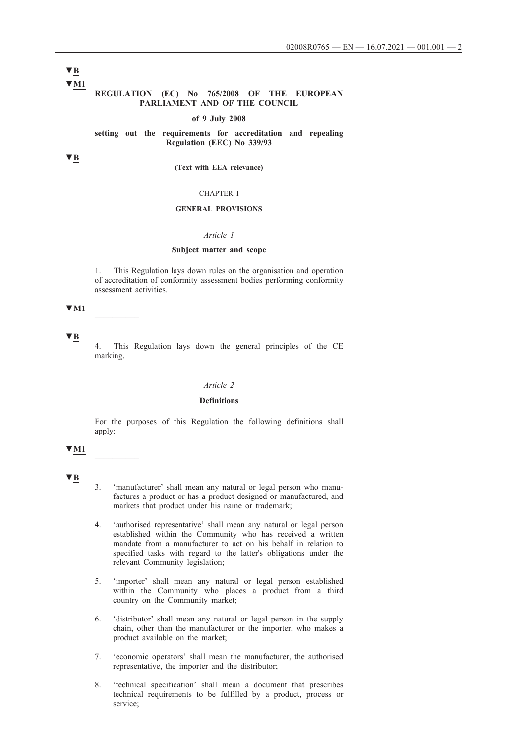# **▼M1 ▼B**

## **REGULATION (EC) No 765/2008 OF THE EUROPEAN PARLIAMENT AND OF THE COUNCIL**

### **of 9 July 2008**

## **setting out the requirements for accreditation and repealing Regulation (EEC) No 339/93**

**▼B**

**(Text with EEA relevance)**

## CHAPTER I

## **GENERAL PROVISIONS**

#### *Article 1*

### **Subject matter and scope**

1. This Regulation lays down rules on the organisation and operation of accreditation of conformity assessment bodies performing conformity assessment activities.

## **▼M1** \_\_\_\_\_\_\_\_\_\_

# **▼B**

4. This Regulation lays down the general principles of the CE marking.

### *Article 2*

## **Definitions**

For the purposes of this Regulation the following definitions shall apply:

## **▼M1** \_\_\_\_\_\_\_\_\_\_

- 3. 'manufacturer' shall mean any natural or legal person who manufactures a product or has a product designed or manufactured, and markets that product under his name or trademark;
- 4. 'authorised representative' shall mean any natural or legal person established within the Community who has received a written mandate from a manufacturer to act on his behalf in relation to specified tasks with regard to the latter's obligations under the relevant Community legislation;
- 5. 'importer' shall mean any natural or legal person established within the Community who places a product from a third country on the Community market;
- 6. 'distributor' shall mean any natural or legal person in the supply chain, other than the manufacturer or the importer, who makes a product available on the market;
- 7. 'economic operators' shall mean the manufacturer, the authorised representative, the importer and the distributor;
- 8. 'technical specification' shall mean a document that prescribes technical requirements to be fulfilled by a product, process or service;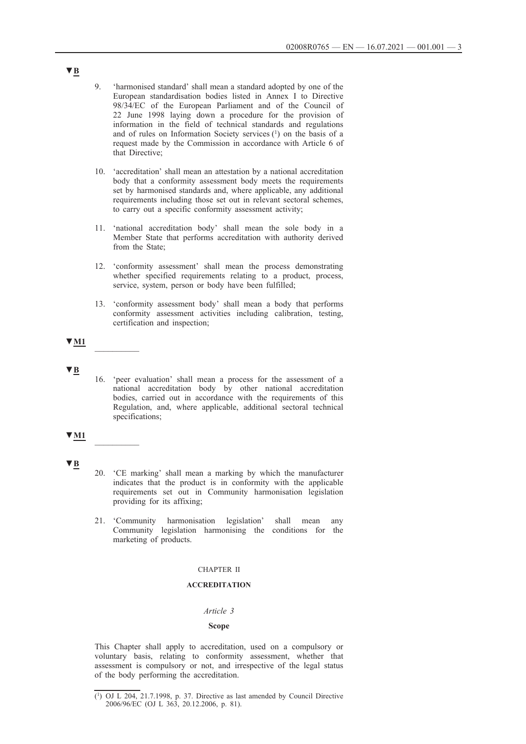- 9. 'harmonised standard' shall mean a standard adopted by one of the European standardisation bodies listed in Annex I to Directive 98/34/EC of the European Parliament and of the Council of 22 June 1998 laying down a procedure for the provision of information in the field of technical standards and regulations and of rules on Information Society services  $(1)$  on the basis of a request made by the Commission in accordance with Article 6 of that Directive;
- 10. 'accreditation' shall mean an attestation by a national accreditation body that a conformity assessment body meets the requirements set by harmonised standards and, where applicable, any additional requirements including those set out in relevant sectoral schemes, to carry out a specific conformity assessment activity;
- 11. 'national accreditation body' shall mean the sole body in a Member State that performs accreditation with authority derived from the State;
- 12. 'conformity assessment' shall mean the process demonstrating whether specified requirements relating to a product, process, service, system, person or body have been fulfilled;
- 13. 'conformity assessment body' shall mean a body that performs conformity assessment activities including calibration, testing, certification and inspection;

# **▼M1** \_\_\_\_\_\_\_\_\_\_

- **▼B**
- 16. 'peer evaluation' shall mean a process for the assessment of a national accreditation body by other national accreditation bodies, carried out in accordance with the requirements of this Regulation, and, where applicable, additional sectoral technical specifications;

### **▼M1** \_\_\_\_\_\_\_\_\_\_

- **▼B**
- 20. 'CE marking' shall mean a marking by which the manufacturer indicates that the product is in conformity with the applicable requirements set out in Community harmonisation legislation providing for its affixing;
- 21. 'Community harmonisation legislation' shall mean any Community legislation harmonising the conditions for the marketing of products.

## CHAPTER II

## **ACCREDITATION**

## *Article 3*

### **Scope**

This Chapter shall apply to accreditation, used on a compulsory or voluntary basis, relating to conformity assessment, whether that assessment is compulsory or not, and irrespective of the legal status of the body performing the accreditation.

<sup>(1)</sup> OJ L 204, 21.7.1998, p. 37. Directive as last amended by Council Directive 2006/96/EC (OJ L 363, 20.12.2006, p. 81).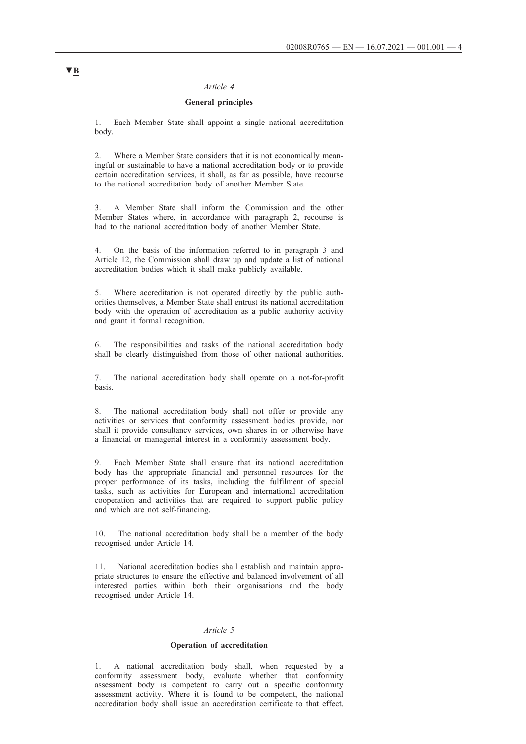## *Article 4*

# **General principles**

1. Each Member State shall appoint a single national accreditation body.

2. Where a Member State considers that it is not economically meaningful or sustainable to have a national accreditation body or to provide certain accreditation services, it shall, as far as possible, have recourse to the national accreditation body of another Member State.

3. A Member State shall inform the Commission and the other Member States where, in accordance with paragraph 2, recourse is had to the national accreditation body of another Member State.

4. On the basis of the information referred to in paragraph 3 and Article 12, the Commission shall draw up and update a list of national accreditation bodies which it shall make publicly available.

5. Where accreditation is not operated directly by the public authorities themselves, a Member State shall entrust its national accreditation body with the operation of accreditation as a public authority activity and grant it formal recognition.

6. The responsibilities and tasks of the national accreditation body shall be clearly distinguished from those of other national authorities.

7. The national accreditation body shall operate on a not-for-profit basis.

8. The national accreditation body shall not offer or provide any activities or services that conformity assessment bodies provide, nor shall it provide consultancy services, own shares in or otherwise have a financial or managerial interest in a conformity assessment body.

9. Each Member State shall ensure that its national accreditation body has the appropriate financial and personnel resources for the proper performance of its tasks, including the fulfilment of special tasks, such as activities for European and international accreditation cooperation and activities that are required to support public policy and which are not self-financing.

10. The national accreditation body shall be a member of the body recognised under Article 14.

11. National accreditation bodies shall establish and maintain appropriate structures to ensure the effective and balanced involvement of all interested parties within both their organisations and the body recognised under Article 14.

### *Article 5*

### **Operation of accreditation**

1. A national accreditation body shall, when requested by a conformity assessment body, evaluate whether that conformity assessment body is competent to carry out a specific conformity assessment activity. Where it is found to be competent, the national accreditation body shall issue an accreditation certificate to that effect.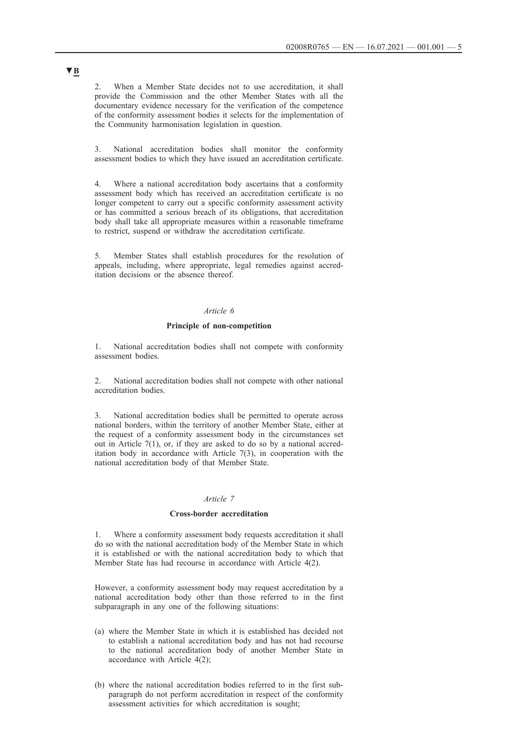2. When a Member State decides not to use accreditation, it shall provide the Commission and the other Member States with all the documentary evidence necessary for the verification of the competence of the conformity assessment bodies it selects for the implementation of the Community harmonisation legislation in question.

3. National accreditation bodies shall monitor the conformity assessment bodies to which they have issued an accreditation certificate.

4. Where a national accreditation body ascertains that a conformity assessment body which has received an accreditation certificate is no longer competent to carry out a specific conformity assessment activity or has committed a serious breach of its obligations, that accreditation body shall take all appropriate measures within a reasonable timeframe to restrict, suspend or withdraw the accreditation certificate.

5. Member States shall establish procedures for the resolution of appeals, including, where appropriate, legal remedies against accreditation decisions or the absence thereof.

### *Article 6*

### **Principle of non-competition**

1. National accreditation bodies shall not compete with conformity assessment bodies.

2. National accreditation bodies shall not compete with other national accreditation bodies.

3. National accreditation bodies shall be permitted to operate across national borders, within the territory of another Member State, either at the request of a conformity assessment body in the circumstances set out in Article 7(1), or, if they are asked to do so by a national accreditation body in accordance with Article 7(3), in cooperation with the national accreditation body of that Member State.

## *Article 7*

### **Cross-border accreditation**

Where a conformity assessment body requests accreditation it shall do so with the national accreditation body of the Member State in which it is established or with the national accreditation body to which that Member State has had recourse in accordance with Article 4(2).

However, a conformity assessment body may request accreditation by a national accreditation body other than those referred to in the first subparagraph in any one of the following situations:

- (a) where the Member State in which it is established has decided not to establish a national accreditation body and has not had recourse to the national accreditation body of another Member State in accordance with Article 4(2);
- (b) where the national accreditation bodies referred to in the first subparagraph do not perform accreditation in respect of the conformity assessment activities for which accreditation is sought;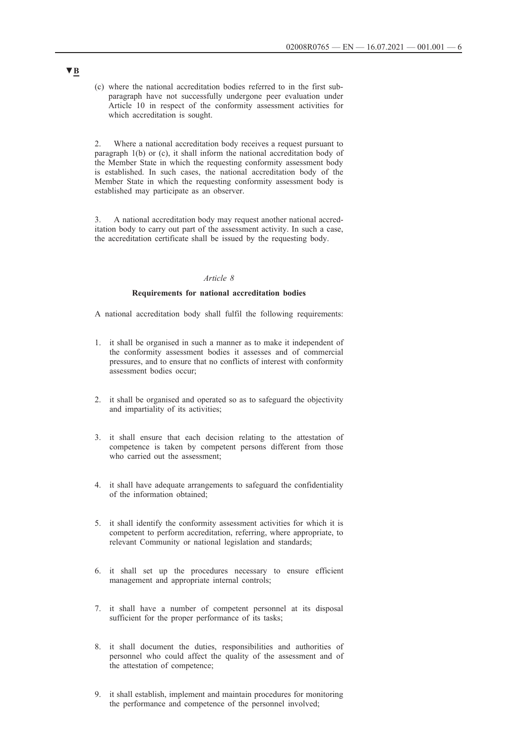(c) where the national accreditation bodies referred to in the first subparagraph have not successfully undergone peer evaluation under Article 10 in respect of the conformity assessment activities for which accreditation is sought.

2. Where a national accreditation body receives a request pursuant to paragraph 1(b) or (c), it shall inform the national accreditation body of the Member State in which the requesting conformity assessment body is established. In such cases, the national accreditation body of the Member State in which the requesting conformity assessment body is established may participate as an observer.

3. A national accreditation body may request another national accreditation body to carry out part of the assessment activity. In such a case, the accreditation certificate shall be issued by the requesting body.

## *Article 8*

## **Requirements for national accreditation bodies**

A national accreditation body shall fulfil the following requirements:

- 1. it shall be organised in such a manner as to make it independent of the conformity assessment bodies it assesses and of commercial pressures, and to ensure that no conflicts of interest with conformity assessment bodies occur;
- 2. it shall be organised and operated so as to safeguard the objectivity and impartiality of its activities;
- 3. it shall ensure that each decision relating to the attestation of competence is taken by competent persons different from those who carried out the assessment;
- 4. it shall have adequate arrangements to safeguard the confidentiality of the information obtained;
- 5. it shall identify the conformity assessment activities for which it is competent to perform accreditation, referring, where appropriate, to relevant Community or national legislation and standards;
- 6. it shall set up the procedures necessary to ensure efficient management and appropriate internal controls;
- 7. it shall have a number of competent personnel at its disposal sufficient for the proper performance of its tasks;
- 8. it shall document the duties, responsibilities and authorities of personnel who could affect the quality of the assessment and of the attestation of competence;
- 9. it shall establish, implement and maintain procedures for monitoring the performance and competence of the personnel involved;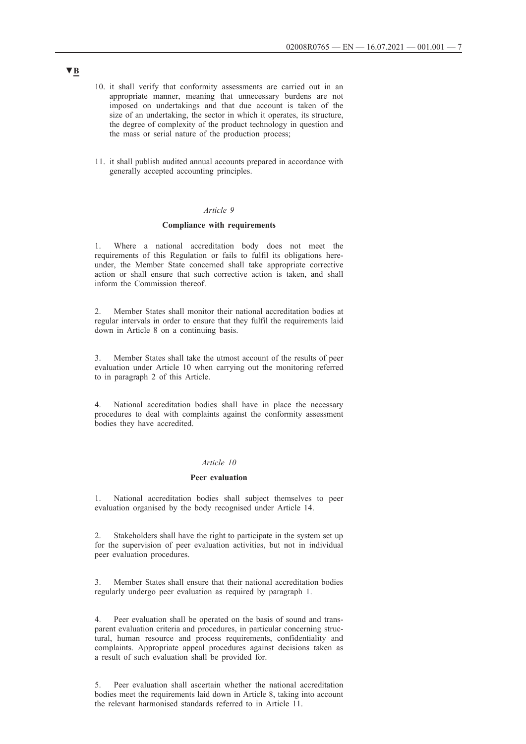- 10. it shall verify that conformity assessments are carried out in an appropriate manner, meaning that unnecessary burdens are not imposed on undertakings and that due account is taken of the size of an undertaking, the sector in which it operates, its structure, the degree of complexity of the product technology in question and the mass or serial nature of the production process;
- 11. it shall publish audited annual accounts prepared in accordance with generally accepted accounting principles.

# *Article 9*

#### **Compliance with requirements**

1. Where a national accreditation body does not meet the requirements of this Regulation or fails to fulfil its obligations hereunder, the Member State concerned shall take appropriate corrective action or shall ensure that such corrective action is taken, and shall inform the Commission thereof.

2. Member States shall monitor their national accreditation bodies at regular intervals in order to ensure that they fulfil the requirements laid down in Article 8 on a continuing basis.

3. Member States shall take the utmost account of the results of peer evaluation under Article 10 when carrying out the monitoring referred to in paragraph 2 of this Article.

4. National accreditation bodies shall have in place the necessary procedures to deal with complaints against the conformity assessment bodies they have accredited.

## *Article 10*

### **Peer evaluation**

National accreditation bodies shall subject themselves to peer evaluation organised by the body recognised under Article 14.

2. Stakeholders shall have the right to participate in the system set up for the supervision of peer evaluation activities, but not in individual peer evaluation procedures.

3. Member States shall ensure that their national accreditation bodies regularly undergo peer evaluation as required by paragraph 1.

4. Peer evaluation shall be operated on the basis of sound and transparent evaluation criteria and procedures, in particular concerning structural, human resource and process requirements, confidentiality and complaints. Appropriate appeal procedures against decisions taken as a result of such evaluation shall be provided for.

5. Peer evaluation shall ascertain whether the national accreditation bodies meet the requirements laid down in Article 8, taking into account the relevant harmonised standards referred to in Article 11.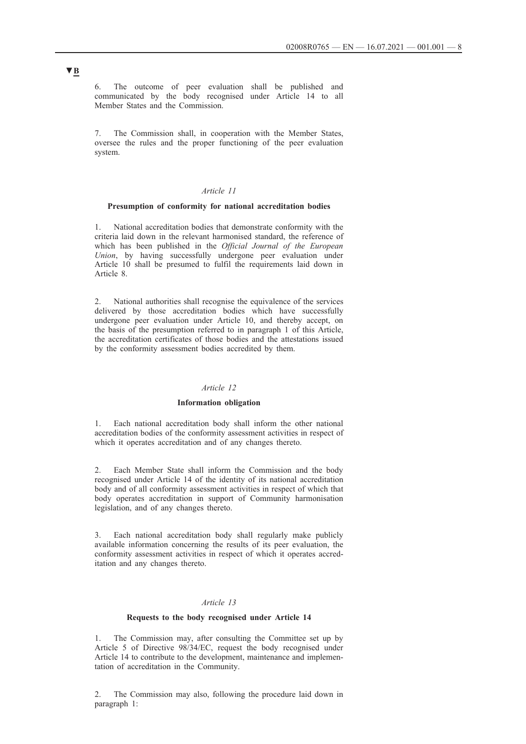6. The outcome of peer evaluation shall be published and communicated by the body recognised under Article 14 to all Member States and the Commission.

7. The Commission shall, in cooperation with the Member States, oversee the rules and the proper functioning of the peer evaluation system.

## *Article 11*

## **Presumption of conformity for national accreditation bodies**

1. National accreditation bodies that demonstrate conformity with the criteria laid down in the relevant harmonised standard, the reference of which has been published in the *Official Journal of the European Union*, by having successfully undergone peer evaluation under Article 10 shall be presumed to fulfil the requirements laid down in Article 8.

2. National authorities shall recognise the equivalence of the services delivered by those accreditation bodies which have successfully undergone peer evaluation under Article 10, and thereby accept, on the basis of the presumption referred to in paragraph 1 of this Article, the accreditation certificates of those bodies and the attestations issued by the conformity assessment bodies accredited by them.

## *Article 12*

### **Information obligation**

1. Each national accreditation body shall inform the other national accreditation bodies of the conformity assessment activities in respect of which it operates accreditation and of any changes thereto.

2. Each Member State shall inform the Commission and the body recognised under Article 14 of the identity of its national accreditation body and of all conformity assessment activities in respect of which that body operates accreditation in support of Community harmonisation legislation, and of any changes thereto.

3. Each national accreditation body shall regularly make publicly available information concerning the results of its peer evaluation, the conformity assessment activities in respect of which it operates accreditation and any changes thereto.

#### *Article 13*

### **Requests to the body recognised under Article 14**

1. The Commission may, after consulting the Committee set up by Article 5 of Directive 98/34/EC, request the body recognised under Article 14 to contribute to the development, maintenance and implementation of accreditation in the Community.

2. The Commission may also, following the procedure laid down in paragraph 1: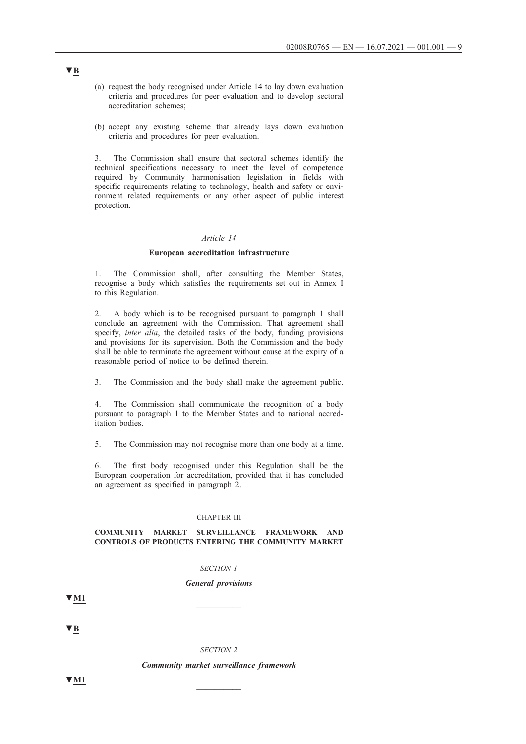- (a) request the body recognised under Article 14 to lay down evaluation criteria and procedures for peer evaluation and to develop sectoral accreditation schemes;
- (b) accept any existing scheme that already lays down evaluation criteria and procedures for peer evaluation.

3. The Commission shall ensure that sectoral schemes identify the technical specifications necessary to meet the level of competence required by Community harmonisation legislation in fields with specific requirements relating to technology, health and safety or environment related requirements or any other aspect of public interest protection.

# *Article 14*

## **European accreditation infrastructure**

1. The Commission shall, after consulting the Member States, recognise a body which satisfies the requirements set out in Annex I to this Regulation.

2. A body which is to be recognised pursuant to paragraph 1 shall conclude an agreement with the Commission. That agreement shall specify, *inter alia*, the detailed tasks of the body, funding provisions and provisions for its supervision. Both the Commission and the body shall be able to terminate the agreement without cause at the expiry of a reasonable period of notice to be defined therein.

3. The Commission and the body shall make the agreement public.

4. The Commission shall communicate the recognition of a body pursuant to paragraph 1 to the Member States and to national accreditation bodies.

5. The Commission may not recognise more than one body at a time.

6. The first body recognised under this Regulation shall be the European cooperation for accreditation, provided that it has concluded an agreement as specified in paragraph 2.

### CHAPTER III

### **COMMUNITY MARKET SURVEILLANCE FRAMEWORK AND CONTROLS OF PRODUCTS ENTERING THE COMMUNITY MARKET**

## *SECTION 1*

### *General provisions*

 $\mathbf{v}_{\mathbf{M1}}$ 

**▼B**

### *SECTION 2*

*Community market surveillance framework*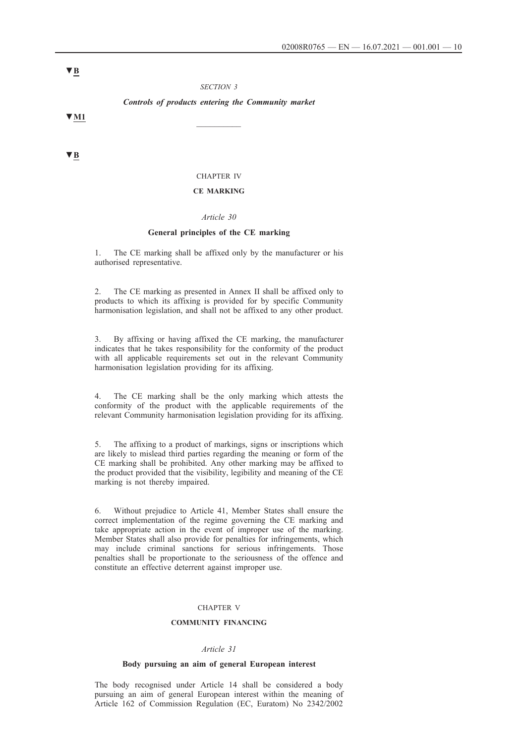### *SECTION 3*

## *Controls of products entering the Community market*

 $\mathbf{v}_{\mathbf{M1}}$ 

## **▼B**

# CHAPTER IV

# **CE MARKING**

## *Article 30*

## **General principles of the CE marking**

1. The CE marking shall be affixed only by the manufacturer or his authorised representative.

2. The CE marking as presented in Annex II shall be affixed only to products to which its affixing is provided for by specific Community harmonisation legislation, and shall not be affixed to any other product.

3. By affixing or having affixed the CE marking, the manufacturer indicates that he takes responsibility for the conformity of the product with all applicable requirements set out in the relevant Community harmonisation legislation providing for its affixing.

4. The CE marking shall be the only marking which attests the conformity of the product with the applicable requirements of the relevant Community harmonisation legislation providing for its affixing.

5. The affixing to a product of markings, signs or inscriptions which are likely to mislead third parties regarding the meaning or form of the CE marking shall be prohibited. Any other marking may be affixed to the product provided that the visibility, legibility and meaning of the CE marking is not thereby impaired.

6. Without prejudice to Article 41, Member States shall ensure the correct implementation of the regime governing the CE marking and take appropriate action in the event of improper use of the marking. Member States shall also provide for penalties for infringements, which may include criminal sanctions for serious infringements. Those penalties shall be proportionate to the seriousness of the offence and constitute an effective deterrent against improper use.

## CHAPTER V

## **COMMUNITY FINANCING**

#### *Article 31*

## **Body pursuing an aim of general European interest**

The body recognised under Article 14 shall be considered a body pursuing an aim of general European interest within the meaning of Article 162 of Commission Regulation (EC, Euratom) No 2342/2002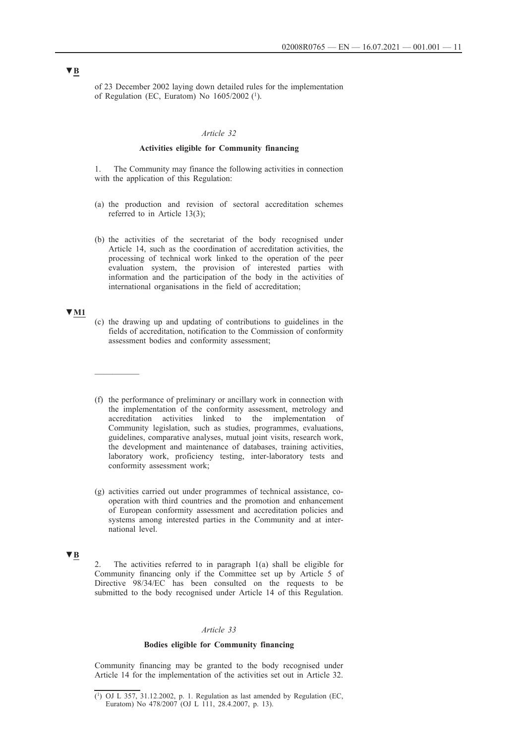of 23 December 2002 laying down detailed rules for the implementation of Regulation (EC, Euratom) No  $1605/2002$  (<sup>1</sup>).

# *Article 32*

## **Activities eligible for Community financing**

1. The Community may finance the following activities in connection with the application of this Regulation:

- (a) the production and revision of sectoral accreditation schemes referred to in Article 13(3);
- (b) the activities of the secretariat of the body recognised under Article 14, such as the coordination of accreditation activities, the processing of technical work linked to the operation of the peer evaluation system, the provision of interested parties with information and the participation of the body in the activities of international organisations in the field of accreditation;

### **▼M1**

 $\frac{1}{2}$ 

- (c) the drawing up and updating of contributions to guidelines in the fields of accreditation, notification to the Commission of conformity assessment bodies and conformity assessment;
- (f) the performance of preliminary or ancillary work in connection with the implementation of the conformity assessment, metrology and accreditation activities linked to the implementation of Community legislation, such as studies, programmes, evaluations, guidelines, comparative analyses, mutual joint visits, research work, the development and maintenance of databases, training activities, laboratory work, proficiency testing, inter-laboratory tests and conformity assessment work;
- (g) activities carried out under programmes of technical assistance, cooperation with third countries and the promotion and enhancement of European conformity assessment and accreditation policies and systems among interested parties in the Community and at international level.

## **▼B**

2. The activities referred to in paragraph 1(a) shall be eligible for Community financing only if the Committee set up by Article 5 of Directive 98/34/EC has been consulted on the requests to be submitted to the body recognised under Article 14 of this Regulation.

#### *Article 33*

### **Bodies eligible for Community financing**

Community financing may be granted to the body recognised under Article 14 for the implementation of the activities set out in Article 32.

<sup>(1)</sup> OJ L 357, 31.12.2002, p. 1. Regulation as last amended by Regulation (EC, Euratom) No 478/2007 (OJ L 111, 28.4.2007, p. 13).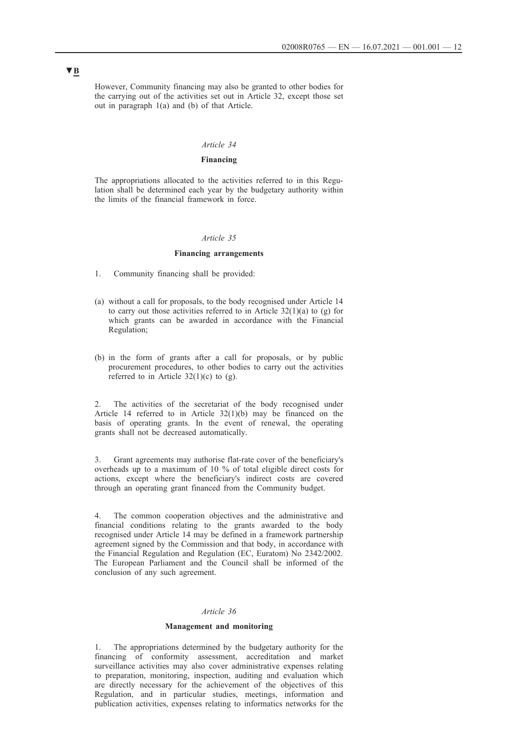However, Community financing may also be granted to other bodies for the carrying out of the activities set out in Article 32, except those set out in paragraph 1(a) and (b) of that Article.

## *Article 34*

# **Financing**

The appropriations allocated to the activities referred to in this Regulation shall be determined each year by the budgetary authority within the limits of the financial framework in force.

## *Article 35*

# **Financing arrangements**

- 1. Community financing shall be provided:
- (a) without a call for proposals, to the body recognised under Article 14 to carry out those activities referred to in Article  $32(1)(a)$  to (g) for which grants can be awarded in accordance with the Financial Regulation;
- (b) in the form of grants after a call for proposals, or by public procurement procedures, to other bodies to carry out the activities referred to in Article  $32(1)(c)$  to (g).

2. The activities of the secretariat of the body recognised under Article 14 referred to in Article 32(1)(b) may be financed on the basis of operating grants. In the event of renewal, the operating grants shall not be decreased automatically.

3. Grant agreements may authorise flat-rate cover of the beneficiary's overheads up to a maximum of 10 % of total eligible direct costs for actions, except where the beneficiary's indirect costs are covered through an operating grant financed from the Community budget.

4. The common cooperation objectives and the administrative and financial conditions relating to the grants awarded to the body recognised under Article 14 may be defined in a framework partnership agreement signed by the Commission and that body, in accordance with the Financial Regulation and Regulation (EC, Euratom) No 2342/2002. The European Parliament and the Council shall be informed of the conclusion of any such agreement.

## *Article 36*

#### **Management and monitoring**

The appropriations determined by the budgetary authority for the financing of conformity assessment, accreditation and market surveillance activities may also cover administrative expenses relating to preparation, monitoring, inspection, auditing and evaluation which are directly necessary for the achievement of the objectives of this Regulation, and in particular studies, meetings, information and publication activities, expenses relating to informatics networks for the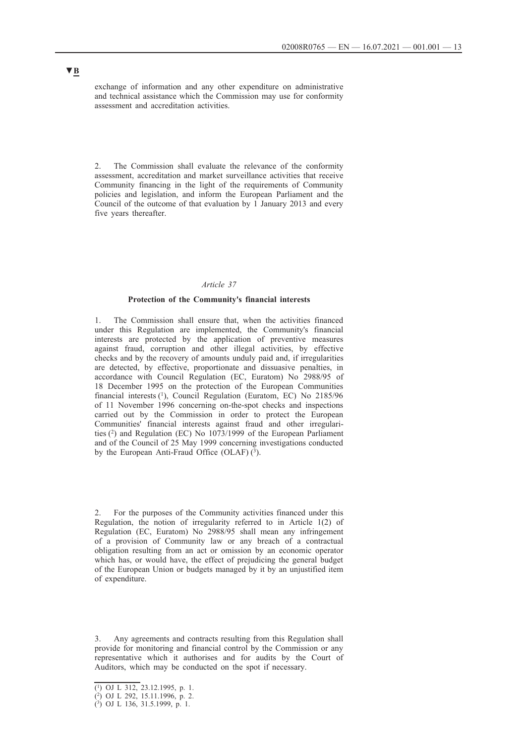exchange of information and any other expenditure on administrative and technical assistance which the Commission may use for conformity assessment and accreditation activities.

2. The Commission shall evaluate the relevance of the conformity assessment, accreditation and market surveillance activities that receive Community financing in the light of the requirements of Community policies and legislation, and inform the European Parliament and the Council of the outcome of that evaluation by  $\hat{1}$  January 2013 and every five years thereafter.

## *Article 37*

## **Protection of the Community's financial interests**

1. The Commission shall ensure that, when the activities financed under this Regulation are implemented, the Community's financial interests are protected by the application of preventive measures against fraud, corruption and other illegal activities, by effective checks and by the recovery of amounts unduly paid and, if irregularities are detected, by effective, proportionate and dissuasive penalties, in accordance with Council Regulation (EC, Euratom) No 2988/95 of 18 December 1995 on the protection of the European Communities financial interests (1), Council Regulation (Euratom, EC) No 2185/96 of 11 November 1996 concerning on-the-spot checks and inspections carried out by the Commission in order to protect the European Communities' financial interests against fraud and other irregularities  $(2)$  and Regulation (EC) No 1073/1999 of the European Parliament and of the Council of 25 May 1999 concerning investigations conducted by the European Anti-Fraud Office (OLAF) $(3)$ .

2. For the purposes of the Community activities financed under this Regulation, the notion of irregularity referred to in Article 1(2) of Regulation (EC, Euratom) No 2988/95 shall mean any infringement of a provision of Community law or any breach of a contractual obligation resulting from an act or omission by an economic operator which has, or would have, the effect of prejudicing the general budget of the European Union or budgets managed by it by an unjustified item of expenditure.

3. Any agreements and contracts resulting from this Regulation shall provide for monitoring and financial control by the Commission or any representative which it authorises and for audits by the Court of Auditors, which may be conducted on the spot if necessary.

<sup>(1)</sup> OJ L 312, 23.12.1995, p. 1.

<sup>(2)</sup> OJ L 292, 15.11.1996, p. 2.

<sup>(3)</sup> OJ L 136, 31.5.1999, p. 1.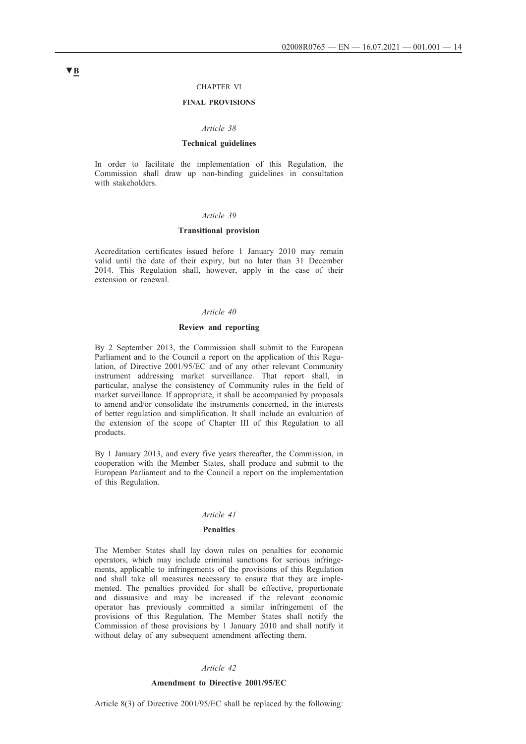### CHAPTER VI

## **FINAL PROVISIONS**

#### *Article 38*

### **Technical guidelines**

In order to facilitate the implementation of this Regulation, the Commission shall draw up non-binding guidelines in consultation with stakeholders.

### *Article 39*

## **Transitional provision**

Accreditation certificates issued before 1 January 2010 may remain valid until the date of their expiry, but no later than 31 December 2014. This Regulation shall, however, apply in the case of their extension or renewal.

### *Article 40*

## **Review and reporting**

By 2 September 2013, the Commission shall submit to the European Parliament and to the Council a report on the application of this Regulation, of Directive 2001/95/EC and of any other relevant Community instrument addressing market surveillance. That report shall, in particular, analyse the consistency of Community rules in the field of market surveillance. If appropriate, it shall be accompanied by proposals to amend and/or consolidate the instruments concerned, in the interests of better regulation and simplification. It shall include an evaluation of the extension of the scope of Chapter III of this Regulation to all products.

By 1 January 2013, and every five years thereafter, the Commission, in cooperation with the Member States, shall produce and submit to the European Parliament and to the Council a report on the implementation of this Regulation.

### *Article 41*

## **Penalties**

The Member States shall lay down rules on penalties for economic operators, which may include criminal sanctions for serious infringements, applicable to infringements of the provisions of this Regulation and shall take all measures necessary to ensure that they are implemented. The penalties provided for shall be effective, proportionate and dissuasive and may be increased if the relevant economic operator has previously committed a similar infringement of the provisions of this Regulation. The Member States shall notify the Commission of those provisions by 1 January 2010 and shall notify it without delay of any subsequent amendment affecting them.

## *Article 42*

### **Amendment to Directive 2001/95/EC**

Article 8(3) of Directive 2001/95/EC shall be replaced by the following: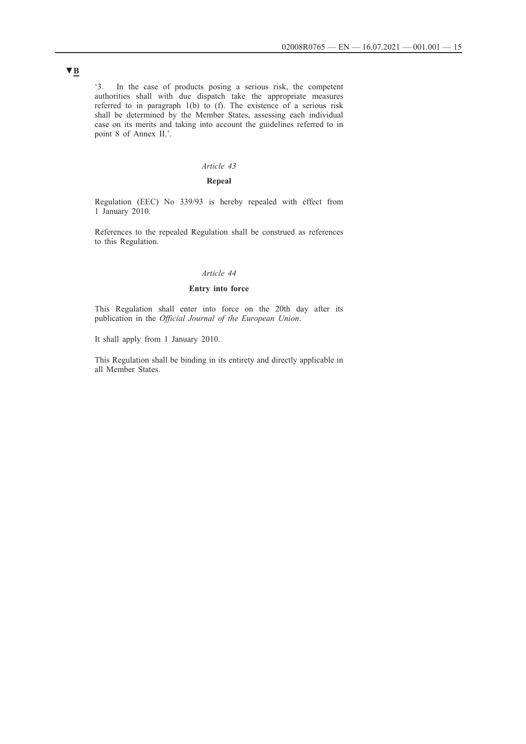'3. In the case of products posing a serious risk, the competent authorities shall with due dispatch take the appropriate measures referred to in paragraph 1(b) to (f). The existence of a serious risk shall be determined by the Member States, assessing each individual case on its merits and taking into account the guidelines referred to in point 8 of Annex II.'.

## *Article 43*

# **Repeal**

Regulation (EEC) No 339/93 is hereby repealed with effect from 1 January 2010.

References to the repealed Regulation shall be construed as references to this Regulation.

## *Article 44*

# **Entry into force**

This Regulation shall enter into force on the 20th day after its publication in the *Official Journal of the European Union*.

It shall apply from 1 January 2010.

This Regulation shall be binding in its entirety and directly applicable in all Member States.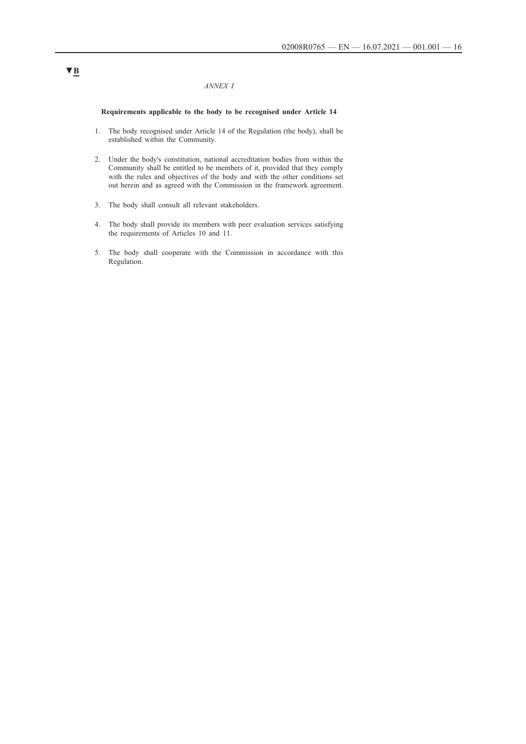### *ANNEX I*

## **Requirements applicable to the body to be recognised under Article 14**

- 1. The body recognised under Article 14 of the Regulation (the body), shall be established within the Community.
- 2. Under the body's constitution, national accreditation bodies from within the Community shall be entitled to be members of it, provided that they comply with the rules and objectives of the body and with the other conditions set out herein and as agreed with the Commission in the framework agreement.
- 3. The body shall consult all relevant stakeholders.
- 4. The body shall provide its members with peer evaluation services satisfying the requirements of Articles 10 and 11.
- 5. The body shall cooperate with the Commission in accordance with this Regulation.